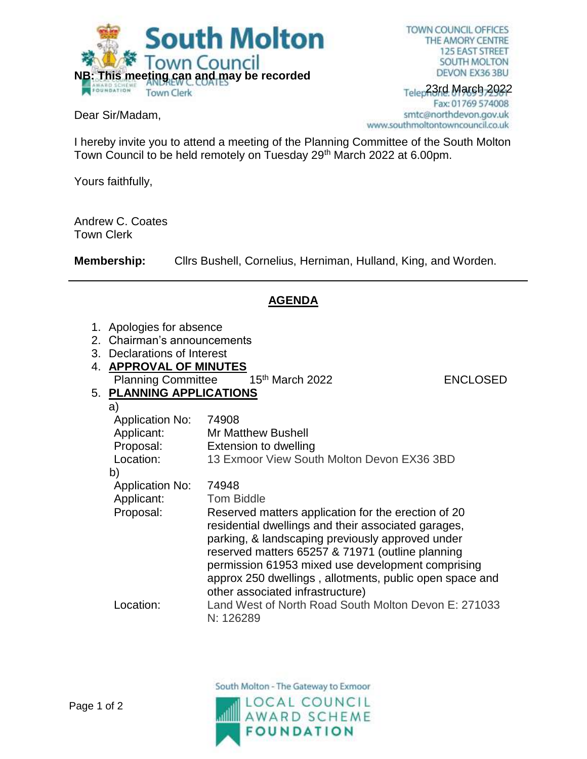

Dear Sir/Madam,

TOWN COUNCIL OFFICES THE AMORY CENTRE **125 EAST STREET SOUTH MOLTON** DEVON EX36 3BU

## Telep23rd March 2022 Fax: 01769 574008 smtc@northdevon.gov.uk www.southmoltontowncouncil.co.uk

I hereby invite you to attend a meeting of the Planning Committee of the South Molton Town Council to be held remotely on Tuesday 29th March 2022 at 6.00pm.

Yours faithfully,

Andrew C. Coates Town Clerk

**Membership:** Cllrs Bushell, Cornelius, Herniman, Hulland, King, and Worden.

## **AGENDA**

- 1. Apologies for absence
- 2. Chairman's announcements
- 3. Declarations of Interest
- 4. **APPROVAL OF MINUTES** Planning Committee 15<sup>th</sup> March 2022 ENCLOSED

## 5. **PLANNING APPLICATIONS**

| a)                     |                                                                                                            |
|------------------------|------------------------------------------------------------------------------------------------------------|
| <b>Application No:</b> | 74908                                                                                                      |
| Applicant:             | <b>Mr Matthew Bushell</b>                                                                                  |
| Proposal:              | Extension to dwelling                                                                                      |
| Location:              | 13 Exmoor View South Molton Devon EX36 3BD                                                                 |
| b)                     |                                                                                                            |
| <b>Application No:</b> | 74948                                                                                                      |
| Applicant:             | <b>Tom Biddle</b>                                                                                          |
| Proposal:              | Reserved matters application for the erection of 20<br>residential dwellings and their associated garages, |
|                        | parking, & landscaping previously approved under                                                           |
|                        | reserved matters 65257 & 71971 (outline planning                                                           |
|                        | permission 61953 mixed use development comprising                                                          |
|                        | approx 250 dwellings, allotments, public open space and<br>other associated infrastructure)                |
| Location:              | Land West of North Road South Molton Devon E: 271033<br>N: 126289                                          |
|                        |                                                                                                            |

South Molton - The Gateway to Exmoor